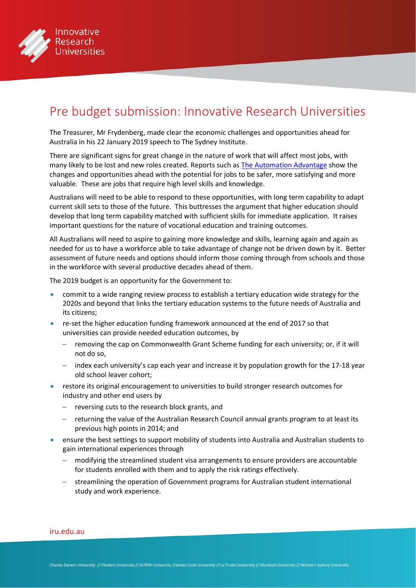

# Pre budget submission: Innovative Research Universities

The Treasurer, Mr Frydenberg, made clear the economic challenges and opportunities ahead for Australia in his 22 January 2019 speech to The Sydney Institute.

There are significant signs for great change in the nature of work that will affect most jobs, with many likely to be lost and new roles created. Reports such as [The Automation Advantage](http://www.alphabeta.com/wp-content/uploads/2017/08/The-Automation-Advantage.pdf) show the changes and opportunities ahead with the potential for jobs to be safer, more satisfying and more valuable. These are jobs that require high level skills and knowledge.

Australians will need to be able to respond to these opportunities, with long term capability to adapt current skill sets to those of the future. This buttresses the argument that higher education should develop that long term capability matched with sufficient skills for immediate application. It raises important questions for the nature of vocational education and training outcomes.

All Australians will need to aspire to gaining more knowledge and skills, learning again and again as needed for us to have a workforce able to take advantage of change not be driven down by it. Better assessment of future needs and options should inform those coming through from schools and those in the workforce with several productive decades ahead of them.

The 2019 budget is an opportunity for the Government to:

- commit to a wide ranging review process to establish a tertiary education wide strategy for the 2020s and beyond that links the tertiary education systems to the future needs of Australia and its citizens;
- re-set the higher education funding framework announced at the end of 2017 so that universities can provide needed education outcomes, by
	- removing the cap on Commonwealth Grant Scheme funding for each university; or, if it will not do so,
	- − index each university's cap each year and increase it by population growth for the 17-18 year old school leaver cohort;
- restore its original encouragement to universities to build stronger research outcomes for industry and other end users by
	- − reversing cuts to the research block grants, and
	- − returning the value of the Australian Research Council annual grants program to at least its previous high points in 2014; and
- ensure the best settings to support mobility of students into Australia and Australian students to gain international experiences through
	- − modifying the streamlined student visa arrangements to ensure providers are accountable for students enrolled with them and to apply the risk ratings effectively.
	- streamlining the operation of Government programs for Australian student international study and work experience.

#### [iru.edu.au](http://iru.edu.au)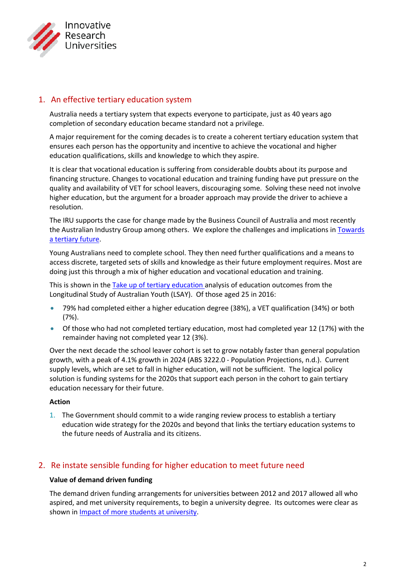

# 1. An effective tertiary education system

Australia needs a tertiary system that expects everyone to participate, just as 40 years ago completion of secondary education became standard not a privilege.

A major requirement for the coming decades is to create a coherent tertiary education system that ensures each person has the opportunity and incentive to achieve the vocational and higher education qualifications, skills and knowledge to which they aspire.

It is clear that vocational education is suffering from considerable doubts about its purpose and financing structure. Changes to vocational education and training funding have put pressure on the quality and availability of VET for school leavers, discouraging some. Solving these need not involve higher education, but the argument for a broader approach may provide the driver to achieve a resolution.

The IRU supports the case for change made by the Business Council of Australia and most recently the Australian Industry Group among others. We explore the challenges and implications in [Towards](https://www.iru.edu.au/wp-content/uploads/2018/11/Towards-a-Tertiary-Future-discussion-paper-Nov-18.pdf)  [a tertiary future.](https://www.iru.edu.au/wp-content/uploads/2018/11/Towards-a-Tertiary-Future-discussion-paper-Nov-18.pdf)

Young Australians need to complete school. They then need further qualifications and a means to access discrete, targeted sets of skills and knowledge as their future employment requires. Most are doing just this through a mix of higher education and vocational education and training.

This is shown in the [Take up of tertiary education](http://www.iru.edu.au/wp-content/uploads/2018/11/The-take-up-of-tertiary-education-Nov-18.pdf) analysis of education outcomes from the Longitudinal Study of Australian Youth (LSAY). Of those aged 25 in 2016:

- 79% had completed either a higher education degree (38%), a VET qualification (34%) or both (7%).
- Of those who had not completed tertiary education, most had completed year 12 (17%) with the remainder having not completed year 12 (3%).

Over the next decade the school leaver cohort is set to grow notably faster than general population growth, with a peak of 4.1% growth in 2024 (ABS 3222.0 - Population Projections, n.d.). Current supply levels, which are set to fall in higher education, will not be sufficient. The logical policy solution is funding systems for the 2020s that support each person in the cohort to gain tertiary education necessary for their future.

## **Action**

1. The Government should commit to a wide ranging review process to establish a tertiary education wide strategy for the 2020s and beyond that links the tertiary education systems to the future needs of Australia and its citizens.

# 2. Re instate sensible funding for higher education to meet future need

## **Value of demand driven funding**

The demand driven funding arrangements for universities between 2012 and 2017 allowed all who aspired, and met university requirements, to begin a university degree. Its outcomes were clear as shown i[n Impact of more students at university.](https://www.iru.edu.au/wp-content/uploads/2017/04/Impact-of-more-students-at-University-Part-1.pdf)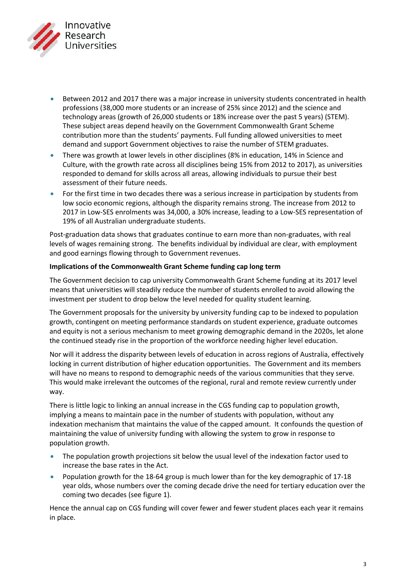

- Between 2012 and 2017 there was a major increase in university students concentrated in health professions (38,000 more students or an increase of 25% since 2012) and the science and technology areas (growth of 26,000 students or 18% increase over the past 5 years) (STEM). These subject areas depend heavily on the Government Commonwealth Grant Scheme contribution more than the students' payments. Full funding allowed universities to meet demand and support Government objectives to raise the number of STEM graduates.
- There was growth at lower levels in other disciplines (8% in education, 14% in Science and Culture, with the growth rate across all disciplines being 15% from 2012 to 2017), as universities responded to demand for skills across all areas, allowing individuals to pursue their best assessment of their future needs.
- For the first time in two decades there was a serious increase in participation by students from low socio economic regions, although the disparity remains strong. The increase from 2012 to 2017 in Low-SES enrolments was 34,000, a 30% increase, leading to a Low-SES representation of 19% of all Australian undergraduate students.

Post-graduation data shows that graduates continue to earn more than non-graduates, with real levels of wages remaining strong. The benefits individual by individual are clear, with employment and good earnings flowing through to Government revenues.

## **Implications of the Commonwealth Grant Scheme funding cap long term**

The Government decision to cap university Commonwealth Grant Scheme funding at its 2017 level means that universities will steadily reduce the number of students enrolled to avoid allowing the investment per student to drop below the level needed for quality student learning.

The Government proposals for the university by university funding cap to be indexed to population growth, contingent on meeting performance standards on student experience, graduate outcomes and equity is not a serious mechanism to meet growing demographic demand in the 2020s, let alone the continued steady rise in the proportion of the workforce needing higher level education.

Nor will it address the disparity between levels of education in across regions of Australia, effectively locking in current distribution of higher education opportunities. The Government and its members will have no means to respond to demographic needs of the various communities that they serve. This would make irrelevant the outcomes of the regional, rural and remote review currently under way.

There is little logic to linking an annual increase in the CGS funding cap to population growth, implying a means to maintain pace in the number of students with population, without any indexation mechanism that maintains the value of the capped amount. It confounds the question of maintaining the value of university funding with allowing the system to grow in response to population growth.

- The population growth projections sit below the usual level of the indexation factor used to increase the base rates in the Act.
- Population growth for the 18-64 group is much lower than for the key demographic of 17-18 year olds, whose numbers over the coming decade drive the need for tertiary education over the coming two decades (see figure 1).

Hence the annual cap on CGS funding will cover fewer and fewer student places each year it remains in place.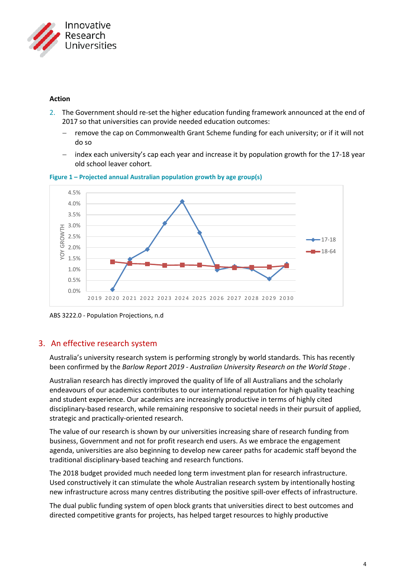

## **Action**

- 2. The Government should re-set the higher education funding framework announced at the end of 2017 so that universities can provide needed education outcomes:
	- remove the cap on Commonwealth Grant Scheme funding for each university; or if it will not do so
	- index each university's cap each year and increase it by population growth for the 17-18 year old school leaver cohort.



**Figure 1 – Projected annual Australian population growth by age group(s)**

ABS 3222.0 - Population Projections, n.d

# 3. An effective research system

Australia's university research system is performing strongly by world standards. This has recently been confirmed by the *Barlow Report 2019 - Australian University Research on the World Stage* .

Australian research has directly improved the quality of life of all Australians and the scholarly endeavours of our academics contributes to our international reputation for high quality teaching and student experience. Our academics are increasingly productive in terms of highly cited disciplinary-based research, while remaining responsive to societal needs in their pursuit of applied, strategic and practically-oriented research.

The value of our research is shown by our universities increasing share of research funding from business, Government and not for profit research end users. As we embrace the engagement agenda, universities are also beginning to develop new career paths for academic staff beyond the traditional disciplinary-based teaching and research functions.

The 2018 budget provided much needed long term investment plan for research infrastructure. Used constructively it can stimulate the whole Australian research system by intentionally hosting new infrastructure across many centres distributing the positive spill-over effects of infrastructure.

The dual public funding system of open block grants that universities direct to best outcomes and directed competitive grants for projects, has helped target resources to highly productive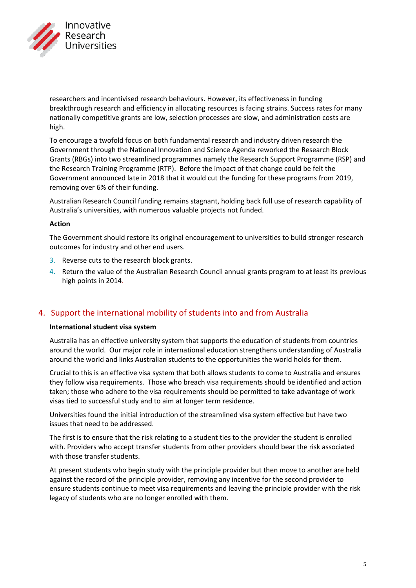

researchers and incentivised research behaviours. However, its effectiveness in funding breakthrough research and efficiency in allocating resources is facing strains. Success rates for many nationally competitive grants are low, selection processes are slow, and administration costs are high.

To encourage a twofold focus on both fundamental research and industry driven research the Government through the National Innovation and Science Agenda reworked the Research Block Grants (RBGs) into two streamlined programmes namely the Research Support Programme (RSP) and the Research Training Programme (RTP). Before the impact of that change could be felt the Government announced late in 2018 that it would cut the funding for these programs from 2019, removing over 6% of their funding.

Australian Research Council funding remains stagnant, holding back full use of research capability of Australia's universities, with numerous valuable projects not funded.

## **Action**

The Government should restore its original encouragement to universities to build stronger research outcomes for industry and other end users.

- 3. Reverse cuts to the research block grants.
- 4. Return the value of the Australian Research Council annual grants program to at least its previous high points in 2014.

# 4. Support the international mobility of students into and from Australia

## **International student visa system**

Australia has an effective university system that supports the education of students from countries around the world. Our major role in international education strengthens understanding of Australia around the world and links Australian students to the opportunities the world holds for them.

Crucial to this is an effective visa system that both allows students to come to Australia and ensures they follow visa requirements. Those who breach visa requirements should be identified and action taken; those who adhere to the visa requirements should be permitted to take advantage of work visas tied to successful study and to aim at longer term residence.

Universities found the initial introduction of the streamlined visa system effective but have two issues that need to be addressed.

The first is to ensure that the risk relating to a student ties to the provider the student is enrolled with. Providers who accept transfer students from other providers should bear the risk associated with those transfer students.

At present students who begin study with the principle provider but then move to another are held against the record of the principle provider, removing any incentive for the second provider to ensure students continue to meet visa requirements and leaving the principle provider with the risk legacy of students who are no longer enrolled with them.